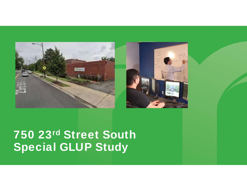



# 750 23rd Street South **Special GLUP Study**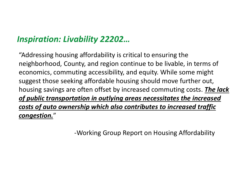### *Inspiration: Livability 22202…*

"Addressing housing affordability is critical to ensuring the neighborhood, County, and region continue to be livable, in terms of economics, commuting accessibility, and equity. While some might suggest those seeking affordable housing should move further out, housing savings are often offset by increased commuting costs. *The lack of public transportation in outlying areas necessitates the increased costs of auto ownership which also contributes to increased traffic congestion.* "

‐Working Group Report on Housing Affordability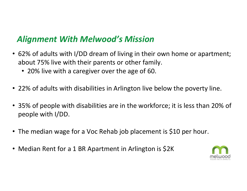#### *Alignment With Melwood's Mission*

- 62% of adults with I/DD dream of living in their own home or apartment; about 75% live with their parents or other family.
	- 20% live with a caregiver over the age of 60.
- 22% of adults with disabilities in Arlington live below the poverty line.
- 35% of people with disabilities are in the workforce; it is less than 20% of people with I/DD.
- The median wage for a Voc Rehab job placement is \$10 per hour.
- Median Rent for a 1 BR Apartment in Arlington is \$2K

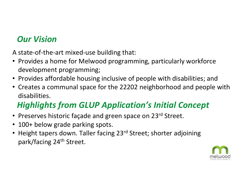### *Our Vision*

A state‐of‐the‐art mixed‐use building that:

- Provides a home for Melwood programming, particularly workforce development programming;
- Provides affordable housing inclusive of people with disabilities; and
- Creates a communal space for the 22202 neighborhood and people with disabilities.

## *Highlights from GLUP Application's Initial Concept*

- Preserves historic façade and green space on 23<sup>rd</sup> Street.
- $\bullet$ 100+ below grade parking spots.
- Height tapers down. Taller facing 23<sup>rd</sup> Street; shorter adjoining park/facing 24th Street.

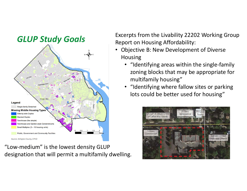

"Low‐medium" is the lowest density GLUP designation that will permit a multifamily dwelling.

**GLUP Study Goals** Excerpts from the Livability 22202 Working Group Excerpts from the Livability 22202 Working Group

- Objective B: New Development of Diverse Housing
	- "Identifying areas within the single‐family zoning blocks that may be appropriate for multifamily housing"
	- "Identifying where fallow sites or parking lots could be better used for housing"